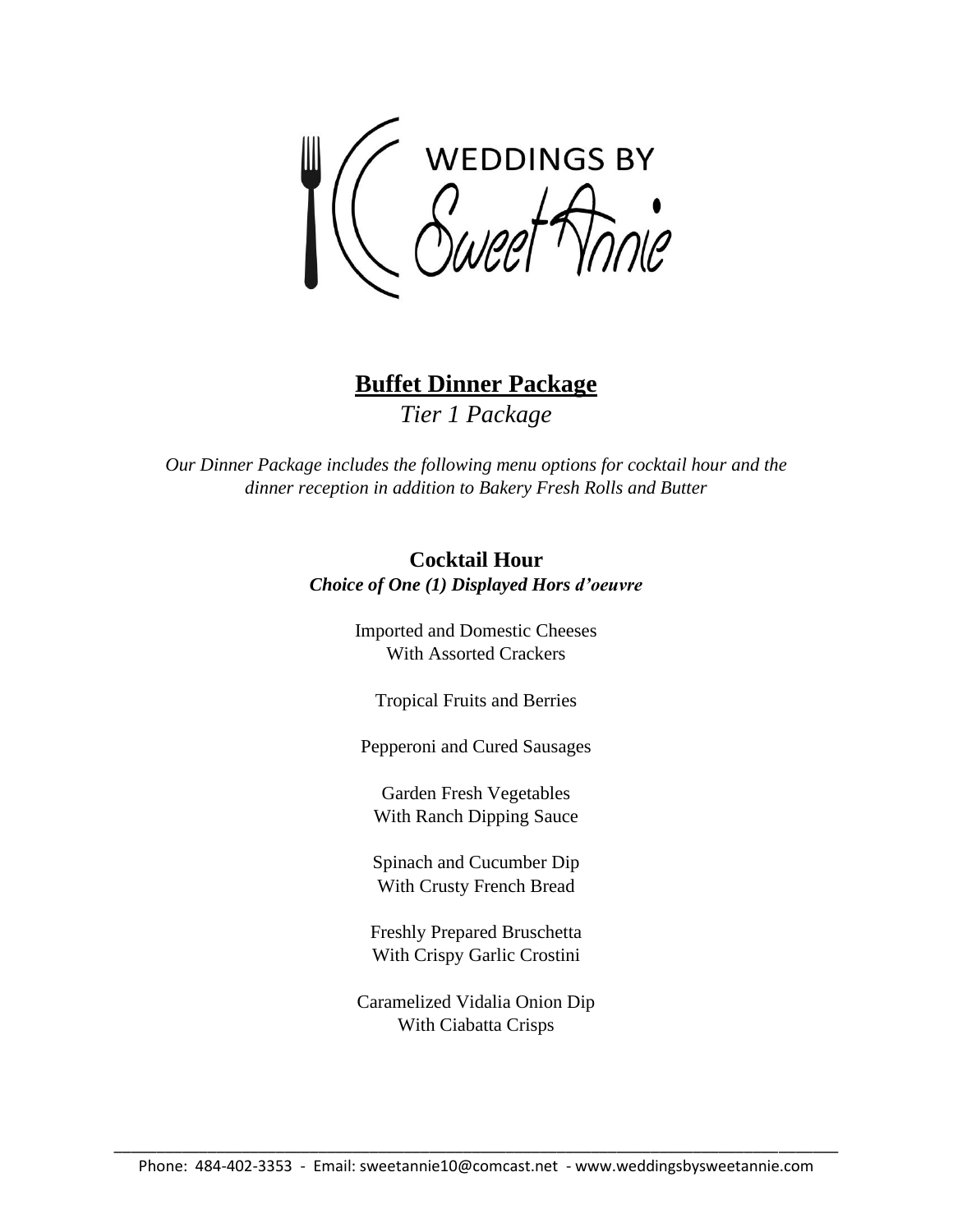**WEDDINGS BY** 

**Buffet Dinner Package** *Tier 1 Package*

*Our Dinner Package includes the following menu options for cocktail hour and the dinner reception in addition to Bakery Fresh Rolls and Butter*

## **Cocktail Hour** *Choice of One (1) Displayed Hors d'oeuvre*

Imported and Domestic Cheeses With Assorted Crackers

Tropical Fruits and Berries

Pepperoni and Cured Sausages

Garden Fresh Vegetables With Ranch Dipping Sauce

Spinach and Cucumber Dip With Crusty French Bread

Freshly Prepared Bruschetta With Crispy Garlic Crostini

Caramelized Vidalia Onion Dip With Ciabatta Crisps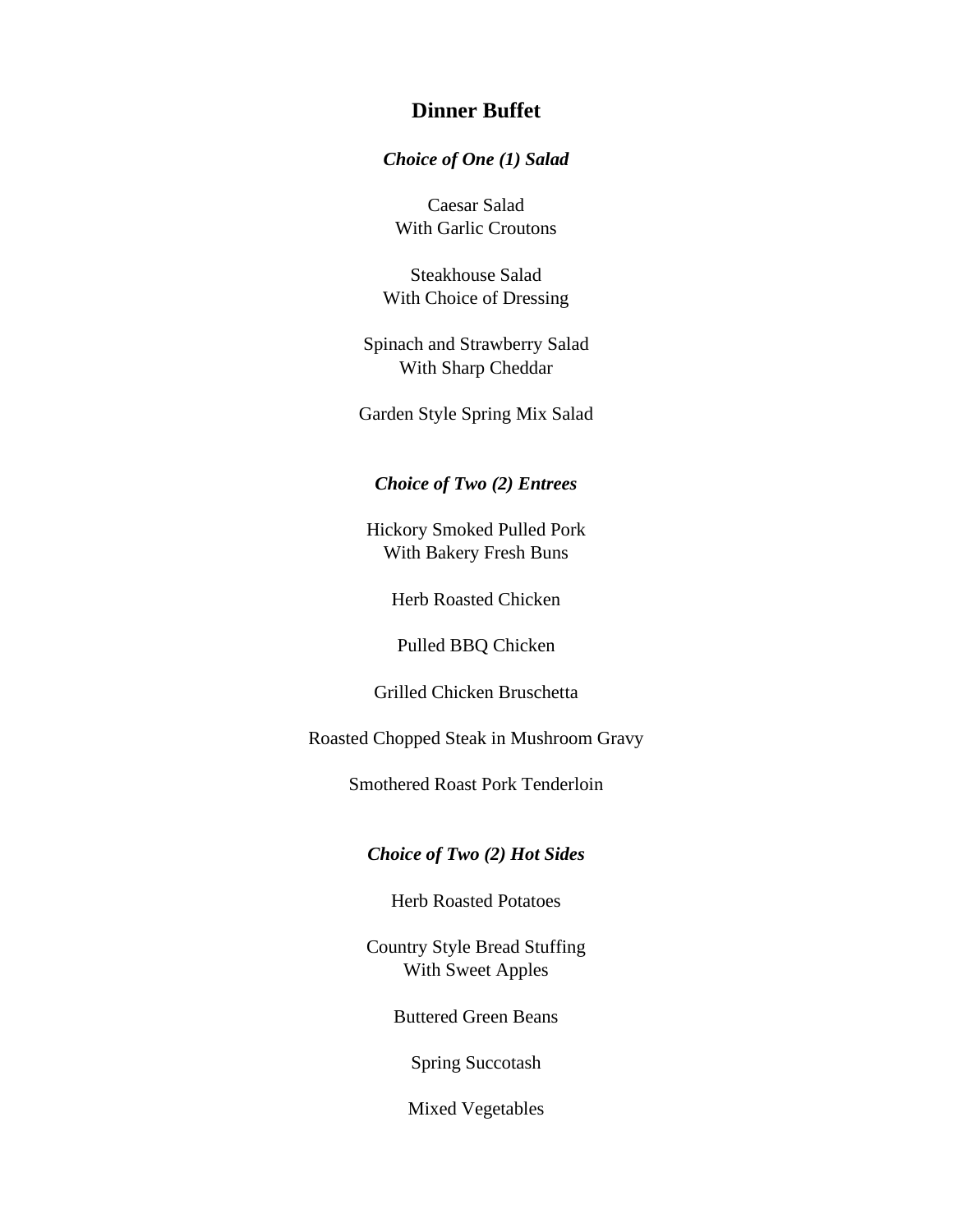## **Dinner Buffet**

#### *Choice of One (1) Salad*

Caesar Salad With Garlic Croutons

Steakhouse Salad With Choice of Dressing

Spinach and Strawberry Salad With Sharp Cheddar

Garden Style Spring Mix Salad

## *Choice of Two (2) Entrees*

Hickory Smoked Pulled Pork With Bakery Fresh Buns

Herb Roasted Chicken

Pulled BBQ Chicken

Grilled Chicken Bruschetta

Roasted Chopped Steak in Mushroom Gravy

Smothered Roast Pork Tenderloin

#### *Choice of Two (2) Hot Sides*

Herb Roasted Potatoes

Country Style Bread Stuffing With Sweet Apples

Buttered Green Beans

Spring Succotash

Mixed Vegetables